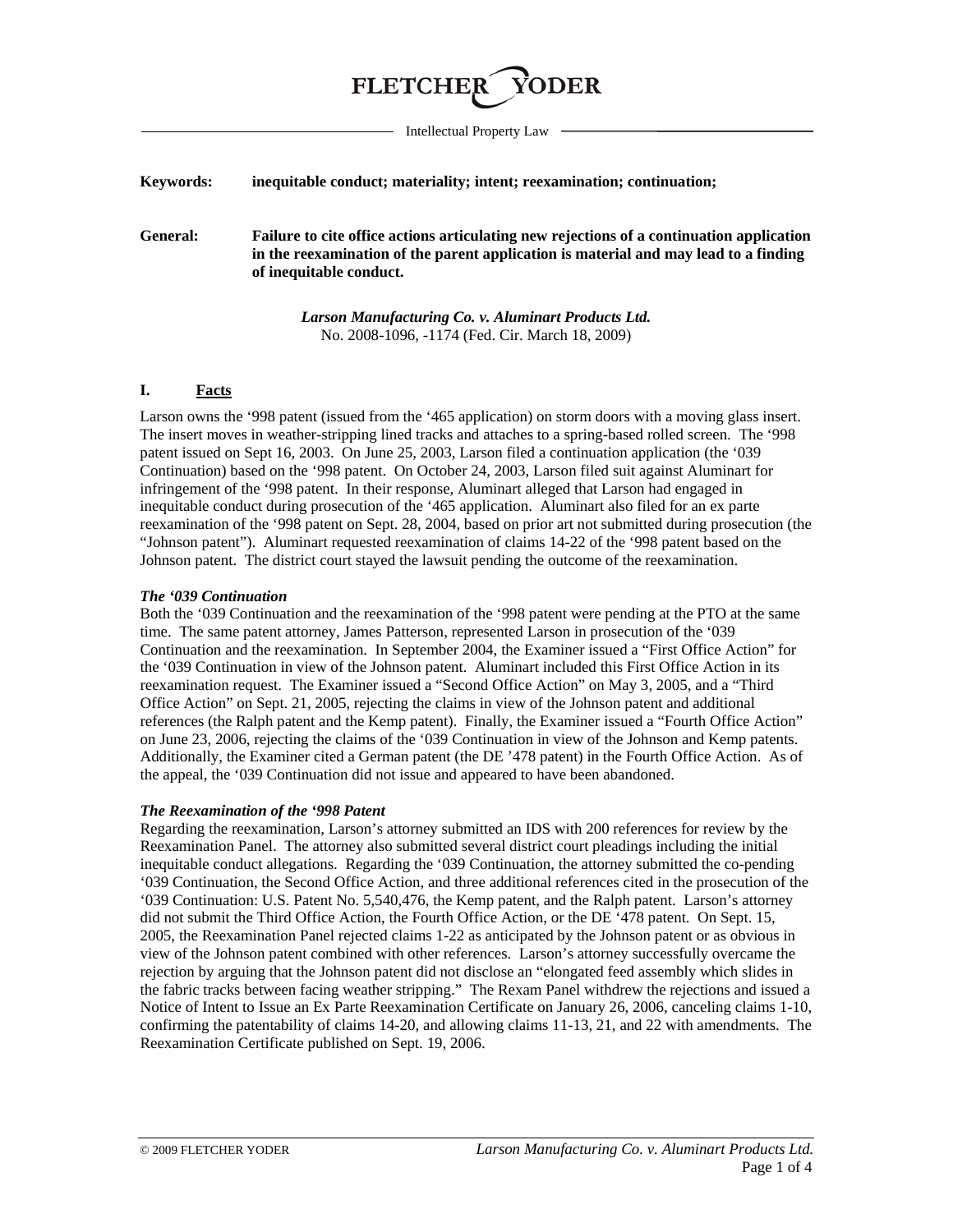

Intellectual Property Law

### **Keywords: inequitable conduct; materiality; intent; reexamination; continuation;**

<span id="page-0-0"></span>**General: Failure to cite office actions articulating new rejections of a continuation application in the reexamination of the parent application is material and may lead to a finding of inequitable conduct.**

> *Larson Manufacturing Co. v. Aluminart Products Ltd.*  No. 2008-1096, -1174 (Fed. Cir. March 18, 2009)

## **I. Facts**

Larson owns the '998 patent (issued from the '465 application) on storm doors with a moving glass insert. The insert moves in weather-stripping lined tracks and attaches to a spring-based rolled screen. The '998 patent issued on Sept 16, 2003. On June 25, 2003, Larson filed a continuation application (the '039 Continuation) based on the '998 patent. On October 24, 2003, Larson filed suit against Aluminart for infringement of the '998 patent. In their response, Aluminart alleged that Larson had engaged in inequitable conduct during prosecution of the '465 application. Aluminart also filed for an ex parte reexamination of the '998 patent on Sept. 28, 2004, based on prior art not submitted during prosecution (the "Johnson patent"). Aluminart requested reexamination of claims 14-22 of the '998 patent based on the Johnson patent. The district court stayed the lawsuit pending the outcome of the reexamination.

## *The '039 Continuation*

Both the '039 Continuation and the reexamination of the '998 patent were pending at the PTO at the same time. The same patent attorney, James Patterson, represented Larson in prosecution of the '039 Continuation and the reexamination. In September 2004, the Examiner issued a "First Office Action" for the '039 Continuation in view of the Johnson patent. Aluminart included this First Office Action in its reexamination request. The Examiner issued a "Second Office Action" on May 3, 2005, and a "Third Office Action" on Sept. 21, 2005, rejecting the claims in view of the Johnson patent and additional references (the Ralph patent and the Kemp patent). Finally, the Examiner issued a "Fourth Office Action" on June 23, 2006, rejecting the claims of the '039 Continuation in view of the Johnson and Kemp patents. Additionally, the Examiner cited a German patent (the DE '478 patent) in the Fourth Office Action. As of the appeal, the '039 Continuation did not issue and appeared to have been abandoned.

## *The Reexamination of the '998 Patent*

Regarding the reexamination, Larson's attorney submitted an IDS with 200 references for review by the Reexamination Panel. The attorney also submitted several district court pleadings including the initial inequitable conduct allegations. Regarding the '039 Continuation, the attorney submitted the co-pending '039 Continuation, the Second Office Action, and three additional references cited in the prosecution of the '039 Continuation: U.S. Patent No. 5,540,476, the Kemp patent, and the Ralph patent. Larson's attorney did not submit the Third Office Action, the Fourth Office Action, or the DE '478 patent. On Sept. 15, 2005, the Reexamination Panel rejected claims 1-22 as anticipated by the Johnson patent or as obvious in view of the Johnson patent combined with other references. Larson's attorney successfully overcame the rejection by arguing that the Johnson patent did not disclose an "elongated feed assembly which slides in the fabric tracks between facing weather stripping." The Rexam Panel withdrew the rejections and issued a Notice of Intent to Issue an Ex Parte Reexamination Certificate on January 26, 2006, canceling claims 1-10, confirming the patentability of claims 14-20, and allowing claims 11-13, 21, and 22 with amendments. The Reexamination Certificate published on Sept. 19, 2006.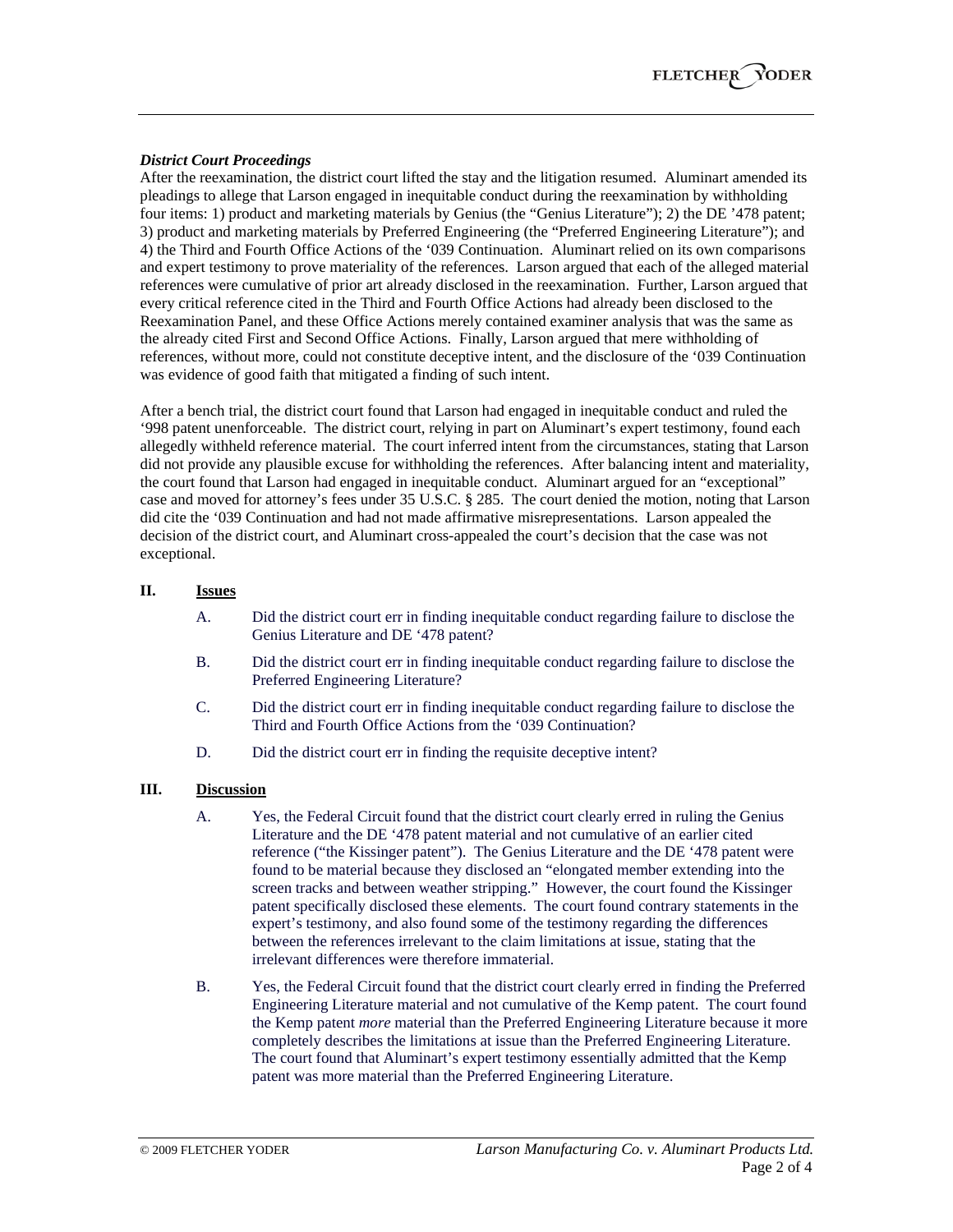### *District Court Proceedings*

After the reexamination, the district court lifted the stay and the litigation resumed. Aluminart amended its pleadings to allege that Larson engaged in inequitable conduct during the reexamination by withholding four items: 1) product and marketing materials by Genius (the "Genius Literature"); 2) the DE '478 patent; 3) product and marketing materials by Preferred Engineering (the "Preferred Engineering Literature"); and 4) the Third and Fourth Office Actions of the '039 Continuation. Aluminart relied on its own comparisons and expert testimony to prove materiality of the references. Larson argued that each of the alleged material references were cumulative of prior art already disclosed in the reexamination. Further, Larson argued that every critical reference cited in the Third and Fourth Office Actions had already been disclosed to the Reexamination Panel, and these Office Actions merely contained examiner analysis that was the same as the already cited First and Second Office Actions. Finally, Larson argued that mere withholding of references, without more, could not constitute deceptive intent, and the disclosure of the '039 Continuation was evidence of good faith that mitigated a finding of such intent.

After a bench trial, the district court found that Larson had engaged in inequitable conduct and ruled the '998 patent unenforceable. The district court, relying in part on Aluminart's expert testimony, found each allegedly withheld reference material. The court inferred intent from the circumstances, stating that Larson did not provide any plausible excuse for withholding the references. After balancing intent and materiality, the court found that Larson had engaged in inequitable conduct. Aluminart argued for an "exceptional" case and moved for attorney's fees under 35 U.S.C. § 285. The court denied the motion, noting that Larson did cite the '039 Continuation and had not made affirmative misrepresentations. Larson appealed the decision of the district court, and Aluminart cross-appealed the court's decision that the case was not exceptional.

# **II. Issues**

- A. Did the district court err in finding inequitable conduct regarding failure to disclose the Genius Literature and DE '478 patent?
- B. Did the district court err in finding inequitable conduct regarding failure to disclose the Preferred Engineering Literature?
- C. Did the district court err in finding inequitable conduct regarding failure to disclose the Third and Fourth Office Actions from the '039 Continuation?
- D. Did the district court err in finding the requisite deceptive intent?

## **III. Discussion**

- A. Yes, the Federal Circuit found that the district court clearly erred in ruling the Genius Literature and the DE '478 patent material and not cumulative of an earlier cited reference ("the Kissinger patent"). The Genius Literature and the DE '478 patent were found to be material because they disclosed an "elongated member extending into the screen tracks and between weather stripping." However, the court found the Kissinger patent specifically disclosed these elements. The court found contrary statements in the expert's testimony, and also found some of the testimony regarding the differences between the references irrelevant to the claim limitations at issue, stating that the irrelevant differences were therefore immaterial.
- B. Yes, the Federal Circuit found that the district court clearly erred in finding the Preferred Engineering Literature material and not cumulative of the Kemp patent. The court found the Kemp patent *more* material than the Preferred Engineering Literature because it more completely describes the limitations at issue than the Preferred Engineering Literature. The court found that Aluminart's expert testimony essentially admitted that the Kemp patent was more material than the Preferred Engineering Literature.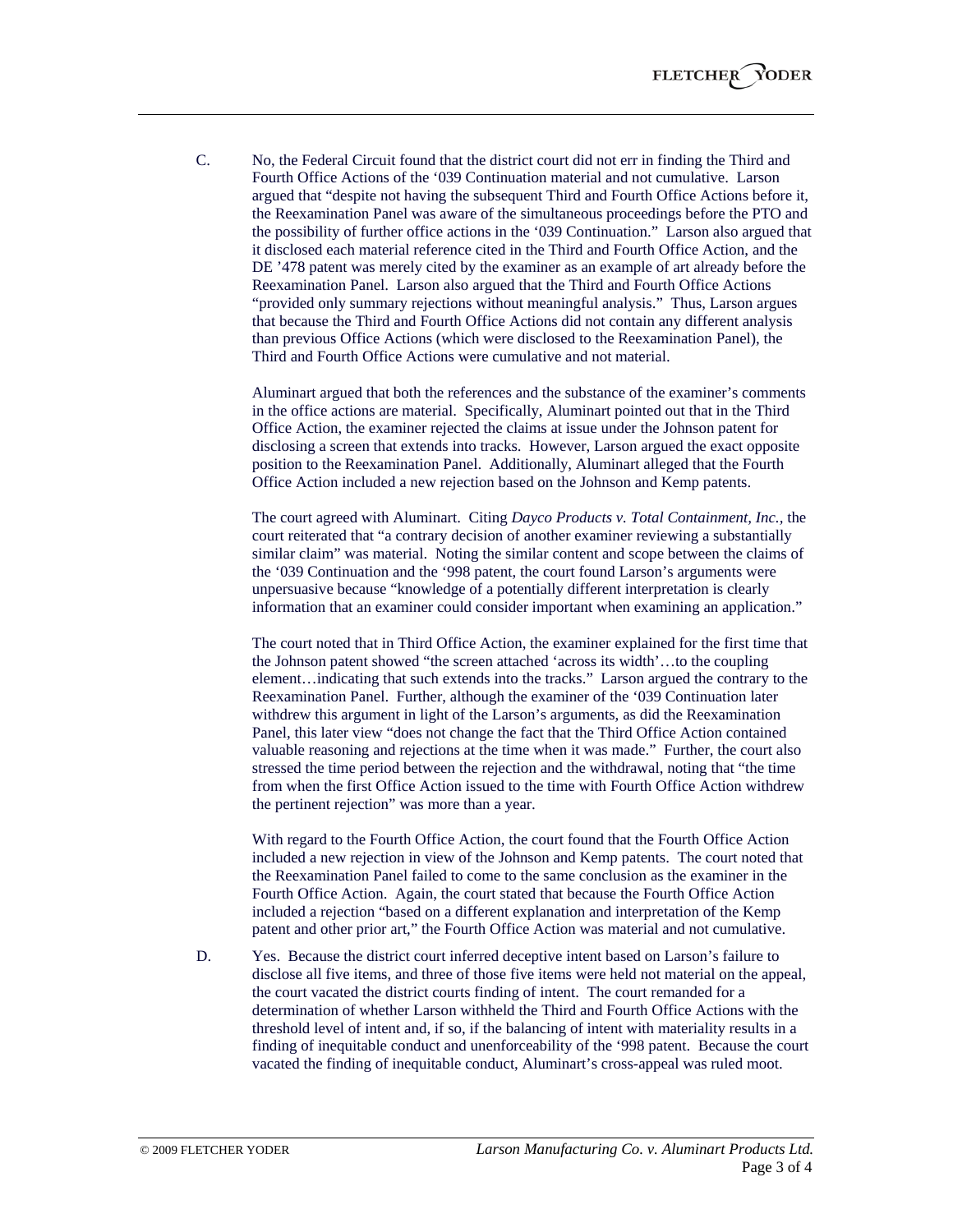C. No, the Federal Circuit found that the district court did not err in finding the Third and Fourth Office Actions of the '039 Continuation material and not cumulative. Larson argued that "despite not having the subsequent Third and Fourth Office Actions before it, the Reexamination Panel was aware of the simultaneous proceedings before the PTO and the possibility of further office actions in the '039 Continuation." Larson also argued that it disclosed each material reference cited in the Third and Fourth Office Action, and the DE '478 patent was merely cited by the examiner as an example of art already before the Reexamination Panel. Larson also argued that the Third and Fourth Office Actions "provided only summary rejections without meaningful analysis." Thus, Larson argues that because the Third and Fourth Office Actions did not contain any different analysis than previous Office Actions (which were disclosed to the Reexamination Panel), the Third and Fourth Office Actions were cumulative and not material.

Aluminart argued that both the references and the substance of the examiner's comments in the office actions are material. Specifically, Aluminart pointed out that in the Third Office Action, the examiner rejected the claims at issue under the Johnson patent for disclosing a screen that extends into tracks. However, Larson argued the exact opposite position to the Reexamination Panel. Additionally, Aluminart alleged that the Fourth Office Action included a new rejection based on the Johnson and Kemp patents.

The court agreed with Aluminart. Citing *Dayco Products v. Total Containment, Inc.,* the court reiterated that "a contrary decision of another examiner reviewing a substantially similar claim" was material. Noting the similar content and scope between the claims of the '039 Continuation and the '998 patent, the court found Larson's arguments were unpersuasive because "knowledge of a potentially different interpretation is clearly information that an examiner could consider important when examining an application."

The court noted that in Third Office Action, the examiner explained for the first time that the Johnson patent showed "the screen attached 'across its width'…to the coupling element…indicating that such extends into the tracks." Larson argued the contrary to the Reexamination Panel. Further, although the examiner of the '039 Continuation later withdrew this argument in light of the Larson's arguments, as did the Reexamination Panel, this later view "does not change the fact that the Third Office Action contained valuable reasoning and rejections at the time when it was made." Further, the court also stressed the time period between the rejection and the withdrawal, noting that "the time from when the first Office Action issued to the time with Fourth Office Action withdrew the pertinent rejection" was more than a year.

With regard to the Fourth Office Action, the court found that the Fourth Office Action included a new rejection in view of the Johnson and Kemp patents. The court noted that the Reexamination Panel failed to come to the same conclusion as the examiner in the Fourth Office Action. Again, the court stated that because the Fourth Office Action included a rejection "based on a different explanation and interpretation of the Kemp patent and other prior art," the Fourth Office Action was material and not cumulative.

D. Yes. Because the district court inferred deceptive intent based on Larson's failure to disclose all five items, and three of those five items were held not material on the appeal, the court vacated the district courts finding of intent. The court remanded for a determination of whether Larson withheld the Third and Fourth Office Actions with the threshold level of intent and, if so, if the balancing of intent with materiality results in a finding of inequitable conduct and unenforceability of the '998 patent. Because the court vacated the finding of inequitable conduct, Aluminart's cross-appeal was ruled moot.